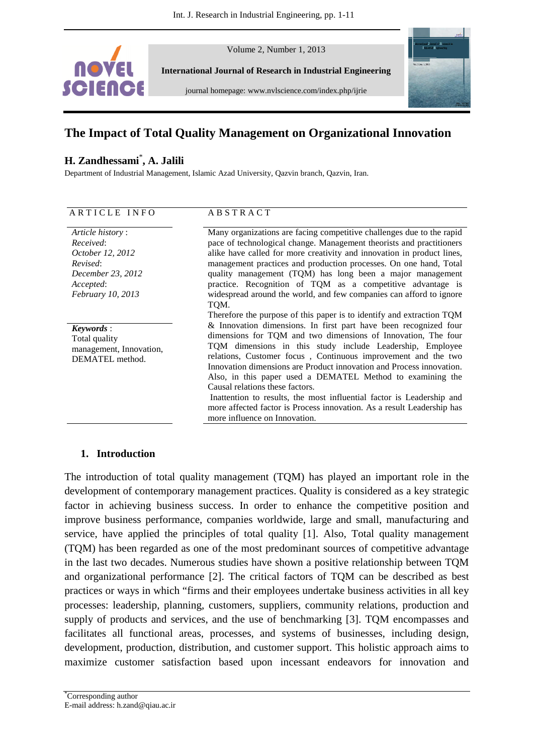

Volume 2, Number 1, 2013

**International Journal of Research in Industrial Engineering** 

journal homepage: www.nvlscience.com/index.php/ijrie



# **The Impact of Total Quality Management on Organizational Innovation**

### **H. Zandhessami**\* **, A. Jalili**

Department of Industrial Management, Islamic Azad University, Qazvin branch, Qazvin, Iran.

| ARTICLE INFO                                                                       | <b>ABSTRACT</b>                                                                                                                                                                                                                                                                                                                                                                                                                                                                                                                                                                             |
|------------------------------------------------------------------------------------|---------------------------------------------------------------------------------------------------------------------------------------------------------------------------------------------------------------------------------------------------------------------------------------------------------------------------------------------------------------------------------------------------------------------------------------------------------------------------------------------------------------------------------------------------------------------------------------------|
| Article history:<br>Received:<br>October 12, 2012<br>Revised:<br>December 23, 2012 | Many organizations are facing competitive challenges due to the rapid<br>pace of technological change. Management theorists and practitioners<br>alike have called for more creativity and innovation in product lines,<br>management practices and production processes. On one hand, Total<br>quality management (TQM) has long been a major management                                                                                                                                                                                                                                   |
| Accepted:<br><i>February 10, 2013</i>                                              | practice. Recognition of TQM as a competitive advantage is<br>widespread around the world, and few companies can afford to ignore<br>TQM.<br>Therefore the purpose of this paper is to identify and extraction TQM                                                                                                                                                                                                                                                                                                                                                                          |
| Keywords:<br>Total quality<br>management, Innovation,<br>DEMATEL method.           | & Innovation dimensions. In first part have been recognized four<br>dimensions for TQM and two dimensions of Innovation, The four<br>TQM dimensions in this study include Leadership, Employee<br>relations, Customer focus, Continuous improvement and the two<br>Innovation dimensions are Product innovation and Process innovation.<br>Also, in this paper used a DEMATEL Method to examining the<br>Causal relations these factors.<br>Inattention to results, the most influential factor is Leadership and<br>more affected factor is Process innovation. As a result Leadership has |
|                                                                                    | more influence on Innovation.                                                                                                                                                                                                                                                                                                                                                                                                                                                                                                                                                               |

### **1. Introduction**

The introduction of total quality management (TQM) has played an important role in the development of contemporary management practices. Quality is considered as a key strategic factor in achieving business success. In order to enhance the competitive position and improve business performance, companies worldwide, large and small, manufacturing and service, have applied the principles of total quality [1]. Also, Total quality management (TQM) has been regarded as one of the most predominant sources of competitive advantage in the last two decades. Numerous studies have shown a positive relationship between TQM and organizational performance [2]. The critical factors of TQM can be described as best practices or ways in which "firms and their employees undertake business activities in all key processes: leadership, planning, customers, suppliers, community relations, production and supply of products and services, and the use of benchmarking [3]. TQM encompasses and facilitates all functional areas, processes, and systems of businesses, including design, development, production, distribution, and customer support. This holistic approach aims to maximize customer satisfaction based upon incessant endeavors for innovation and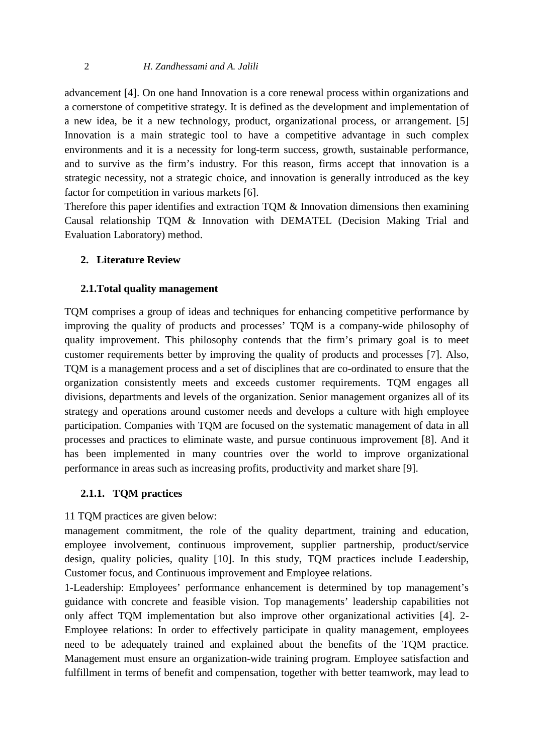advancement [4]. On one hand Innovation is a core renewal process within organizations and a cornerstone of competitive strategy. It is defined as the development and implementation of a new idea, be it a new technology, product, organizational process, or arrangement. [5] Innovation is a main strategic tool to have a competitive advantage in such complex environments and it is a necessity for long-term success, growth, sustainable performance, and to survive as the firm's industry. For this reason, firms accept that innovation is a strategic necessity, not a strategic choice, and innovation is generally introduced as the key factor for competition in various markets [6].

Therefore this paper identifies and extraction TQM & Innovation dimensions then examining Causal relationship TQM & Innovation with DEMATEL (Decision Making Trial and Evaluation Laboratory) method.

### **2. Literature Review**

### **2.1.Total quality management**

TQM comprises a group of ideas and techniques for enhancing competitive performance by improving the quality of products and processes' TQM is a company-wide philosophy of quality improvement. This philosophy contends that the firm's primary goal is to meet customer requirements better by improving the quality of products and processes [7]. Also, TQM is a management process and a set of disciplines that are co-ordinated to ensure that the organization consistently meets and exceeds customer requirements. TQM engages all divisions, departments and levels of the organization. Senior management organizes all of its strategy and operations around customer needs and develops a culture with high employee participation. Companies with TQM are focused on the systematic management of data in all processes and practices to eliminate waste, and pursue continuous improvement [8]. And it has been implemented in many countries over the world to improve organizational performance in areas such as increasing profits, productivity and market share [9].

### **2.1.1. TQM practices**

### 11 TQM practices are given below:

management commitment, the role of the quality department, training and education, employee involvement, continuous improvement, supplier partnership, product/service design, quality policies, quality [10]. In this study, TQM practices include Leadership, Customer focus, and Continuous improvement and Employee relations.

1-Leadership: Employees' performance enhancement is determined by top management's guidance with concrete and feasible vision. Top managements' leadership capabilities not only affect TQM implementation but also improve other organizational activities [4]. 2- Employee relations: In order to effectively participate in quality management, employees need to be adequately trained and explained about the benefits of the TQM practice. Management must ensure an organization-wide training program. Employee satisfaction and fulfillment in terms of benefit and compensation, together with better teamwork, may lead to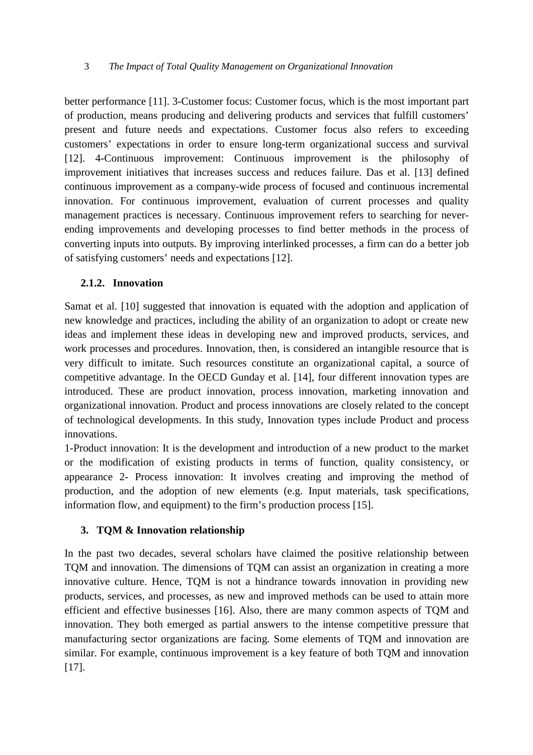better performance [11]. 3-Customer focus: Customer focus, which is the most important part of production, means producing and delivering products and services that fulfill customers' present and future needs and expectations. Customer focus also refers to exceeding customers' expectations in order to ensure long-term organizational success and survival [12]. 4-Continuous improvement: Continuous improvement is the philosophy of improvement initiatives that increases success and reduces failure. Das et al. [13] defined continuous improvement as a company-wide process of focused and continuous incremental innovation. For continuous improvement, evaluation of current processes and quality management practices is necessary. Continuous improvement refers to searching for neverending improvements and developing processes to find better methods in the process of converting inputs into outputs. By improving interlinked processes, a firm can do a better job of satisfying customers' needs and expectations [12].

### **2.1.2. Innovation**

Samat et al. [10] suggested that innovation is equated with the adoption and application of new knowledge and practices, including the ability of an organization to adopt or create new ideas and implement these ideas in developing new and improved products, services, and work processes and procedures. Innovation, then, is considered an intangible resource that is very difficult to imitate. Such resources constitute an organizational capital, a source of competitive advantage. In the OECD Gunday et al. [14], four different innovation types are introduced. These are product innovation, process innovation, marketing innovation and organizational innovation. Product and process innovations are closely related to the concept of technological developments. In this study, Innovation types include Product and process innovations.

1-Product innovation: It is the development and introduction of a new product to the market or the modification of existing products in terms of function, quality consistency, or appearance 2- Process innovation: It involves creating and improving the method of production, and the adoption of new elements (e.g. Input materials, task specifications, information flow, and equipment) to the firm's production process [15].

# **3. TQM & Innovation relationship**

In the past two decades, several scholars have claimed the positive relationship between TQM and innovation. The dimensions of TQM can assist an organization in creating a more innovative culture. Hence, TQM is not a hindrance towards innovation in providing new products, services, and processes, as new and improved methods can be used to attain more efficient and effective businesses [16]. Also, there are many common aspects of TQM and innovation. They both emerged as partial answers to the intense competitive pressure that manufacturing sector organizations are facing. Some elements of TQM and innovation are similar. For example, continuous improvement is a key feature of both TQM and innovation [17].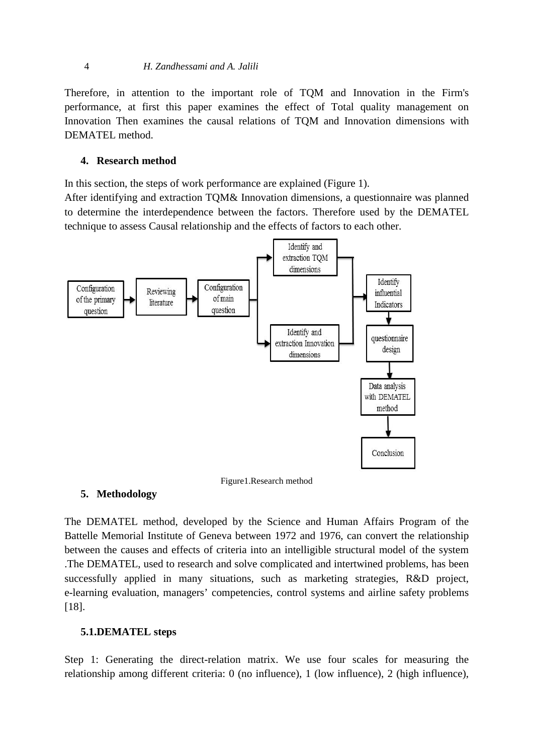#### 4 *H. Zandhessami and A. Jalili*

Therefore, in attention to the important role of TQM and Innovation in the Firm's performance, at first this paper examines the effect of Total quality management on Innovation Then examines the causal relations of TQM and Innovation dimensions with DEMATEL method.

### **4. Research method**

In this section, the steps of work performance are explained (Figure 1).

After identifying and extraction TQM& Innovation dimensions, a questionnaire was planned to determine the interdependence between the factors. Therefore used by the DEMATEL technique to assess Causal relationship and the effects of factors to each other.



Figure1.Research method

### **5. Methodology**

The DEMATEL method, developed by the Science and Human Affairs Program of the Battelle Memorial Institute of Geneva between 1972 and 1976, can convert the relationship between the causes and effects of criteria into an intelligible structural model of the system .The DEMATEL, used to research and solve complicated and intertwined problems, has been successfully applied in many situations, such as marketing strategies, R&D project, e-learning evaluation, managers' competencies, control systems and airline safety problems [18].

### **5.1.DEMATEL steps**

Step 1: Generating the direct-relation matrix. We use four scales for measuring the relationship among different criteria: 0 (no influence), 1 (low influence), 2 (high influence),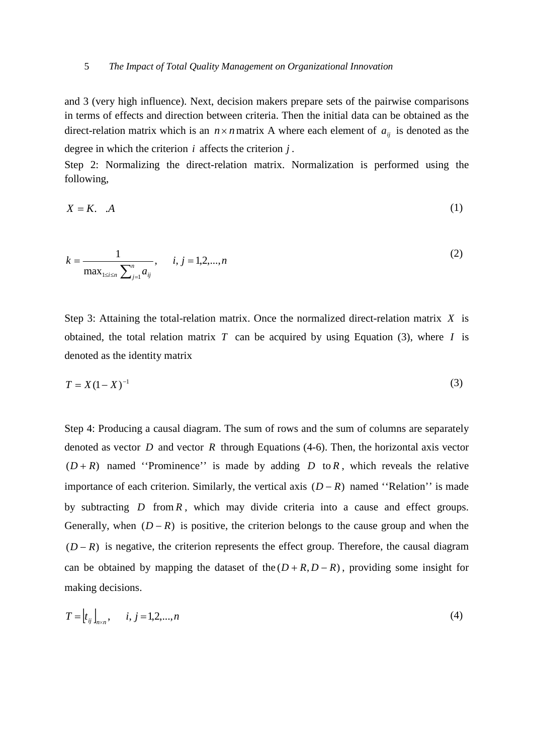#### 5 *The Impact of Total Quality Management on Organizational Innovation*

and 3 (very high influence). Next, decision makers prepare sets of the pairwise comparisons in terms of effects and direction between criteria. Then the initial data can be obtained as the direct-relation matrix which is an  $n \times n$  matrix A where each element of  $a_{ii}$  is denoted as the degree in which the criterion *i* affects the criterion *j* .

Step 2: Normalizing the direct-relation matrix. Normalization is performed using the following,

$$
X = K. \quad A \tag{1}
$$

$$
k = \frac{1}{\max_{1 \le i \le n} \sum_{j=1}^{n} a_{ij}}, \quad i, j = 1, 2, ..., n
$$
 (2)

Step 3: Attaining the total-relation matrix. Once the normalized direct-relation matrix *X* is obtained, the total relation matrix  $T$  can be acquired by using Equation (3), where  $I$  is denoted as the identity matrix

$$
T = X(1 - X)^{-1}
$$
 (3)

Step 4: Producing a causal diagram. The sum of rows and the sum of columns are separately denoted as vector *D* and vector *R* through Equations (4-6). Then, the horizontal axis vector  $(D+R)$  named "Prominence" is made by adding *D* to *R*, which reveals the relative importance of each criterion. Similarly, the vertical axis (*D* − *R*) named ''Relation'' is made by subtracting *D* from *R* , which may divide criteria into a cause and effect groups. Generally, when  $(D - R)$  is positive, the criterion belongs to the cause group and when the  $(D - R)$  is negative, the criterion represents the effect group. Therefore, the causal diagram can be obtained by mapping the dataset of the  $(D + R, D - R)$ , providing some insight for making decisions.

$$
T = [t_{ij}]_{n \times n}, \quad i, j = 1, 2, ..., n
$$
 (4)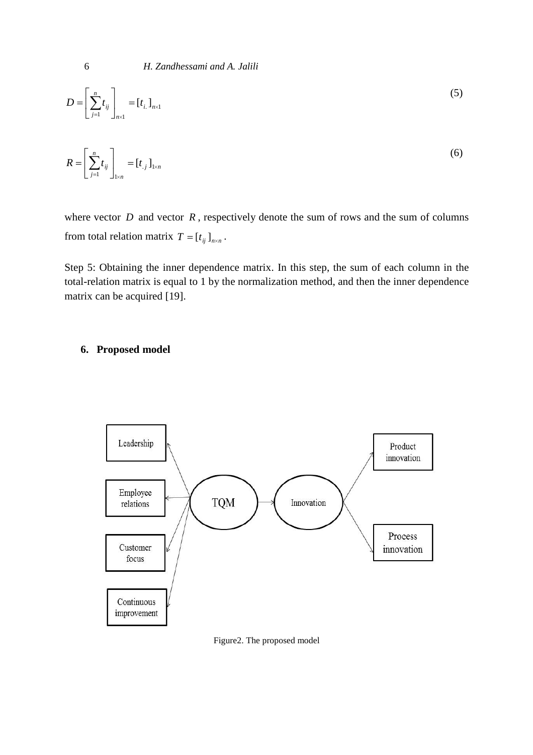$$
D = \left[\sum_{j=1}^{n} t_{ij}\right]_{n \times 1} = [t_{i.}]_{n \times 1} \tag{5}
$$

$$
R = \left[\sum_{j=1}^{n} t_{ij}\right]_{1 \times n} = [t_{.j}]_{1 \times n} \tag{6}
$$

where vector  $D$  and vector  $R$ , respectively denote the sum of rows and the sum of columns from total relation matrix  $T = [t_{ij}]_{n \times n}$ .

Step 5: Obtaining the inner dependence matrix. In this step, the sum of each column in the total-relation matrix is equal to 1 by the normalization method, and then the inner dependence matrix can be acquired [19].

#### **6. Proposed model**



Figure2. The proposed model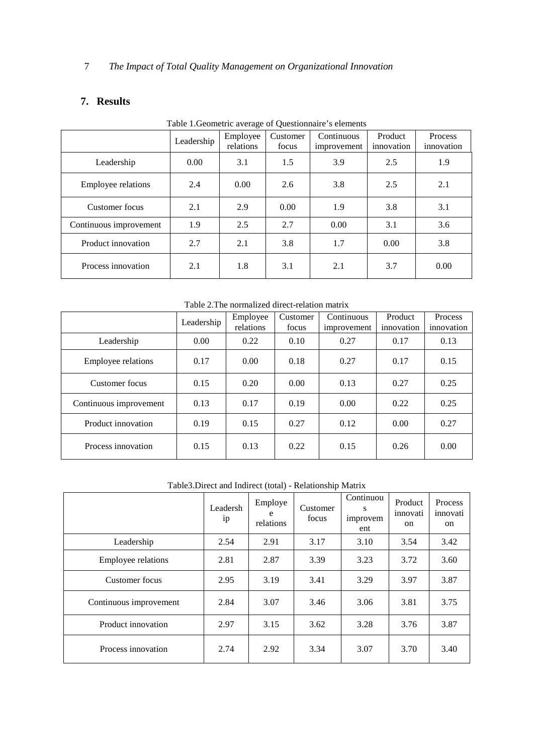# **7. Results**

|                           | Leadership | Employee<br>relations | <b>Table 1. Geometric average of Questionnaire s elements</b><br>Continuous<br>Customer<br>focus<br>improvement |      | Product<br>innovation | Process<br>innovation |  |
|---------------------------|------------|-----------------------|-----------------------------------------------------------------------------------------------------------------|------|-----------------------|-----------------------|--|
| Leadership                | 0.00       | 3.1                   | 1.5                                                                                                             | 3.9  | 2.5                   | 1.9                   |  |
| <b>Employee relations</b> | 2.4        | 0.00                  | 2.6                                                                                                             | 3.8  | 2.5                   | 2.1                   |  |
| Customer focus            | 2.1        | 2.9                   | 0.00                                                                                                            | 1.9  | 3.8                   | 3.1                   |  |
| Continuous improvement    | 1.9        | 2.5                   | 2.7                                                                                                             | 0.00 | 3.1                   | 3.6                   |  |
| Product innovation        | 2.7        | 2.1                   | 3.8                                                                                                             | 1.7  | 0.00                  | 3.8                   |  |
| Process innovation        | 2.1        | 1.8                   | 3.1                                                                                                             | 2.1  | 3.7                   | 0.00                  |  |

Table 1.Geometric average of Questionnaire's elements

Table 2.The normalized direct-relation matrix

|                           | Leadership | Employee<br>relations | Customer<br>focus | Continuous<br>improvement | Product<br>innovation | <b>Process</b><br>innovation |
|---------------------------|------------|-----------------------|-------------------|---------------------------|-----------------------|------------------------------|
| Leadership                | 0.00       | 0.22                  | 0.10              | 0.27                      | 0.17                  | 0.13                         |
| <b>Employee relations</b> | 0.17       | 0.00                  | 0.18              | 0.27                      | 0.17                  | 0.15                         |
| Customer focus<br>0.15    |            | 0.20                  | 0.00              | 0.13                      | 0.27                  | 0.25                         |
| Continuous improvement    | 0.13       | 0.17                  | 0.19              | 0.00                      | 0.22                  | 0.25                         |
| Product innovation        | 0.19       | 0.15                  | 0.27              | 0.12                      | 0.00                  | 0.27                         |
| Process innovation        | 0.15       | 0.13                  | 0.22              | 0.15                      | 0.26                  | 0.00                         |

Table3.Direct and Indirect (total) - Relationship Matrix

|                        | Leadersh<br>1 <sub>p</sub> | Employe<br>e<br>relations | Customer<br>focus | Continuou<br>s<br>improvem<br>ent | Product<br>innovati<br>on | Process<br>innovati<br><sub>on</sub> |
|------------------------|----------------------------|---------------------------|-------------------|-----------------------------------|---------------------------|--------------------------------------|
| Leadership             | 2.54                       | 2.91                      | 3.17              | 3.10                              | 3.54                      | 3.42                                 |
| Employee relations     | 2.81                       | 2.87                      | 3.39              | 3.23                              | 3.72                      | 3.60                                 |
| Customer focus         | 2.95                       | 3.19                      | 3.41              | 3.29                              | 3.97                      | 3.87                                 |
| Continuous improvement | 2.84                       | 3.07                      | 3.46              | 3.06                              | 3.81                      | 3.75                                 |
| Product innovation     | 2.97                       | 3.15                      | 3.62              | 3.28                              | 3.76                      | 3.87                                 |
| Process innovation     | 2.74                       | 2.92                      | 3.34              | 3.07                              | 3.70                      | 3.40                                 |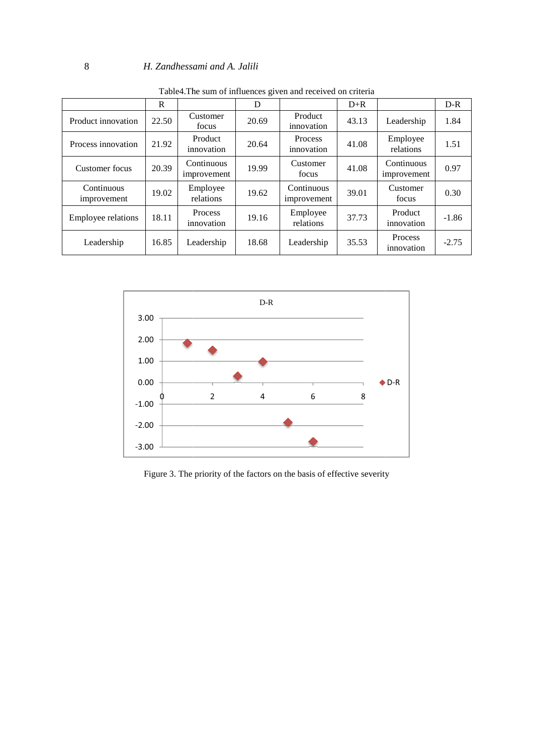#### 8 *H. Zandhessami and A. Jalili*

| Table4. The sum of influences given and received on criteria |       |                           |       |                              |       |                           |         |
|--------------------------------------------------------------|-------|---------------------------|-------|------------------------------|-------|---------------------------|---------|
|                                                              | R     |                           | D     |                              | $D+R$ |                           | $D-R$   |
| Product innovation                                           | 22.50 | Customer<br>focus         | 20.69 | Product<br>innovation        | 43.13 | Leadership                | 1.84    |
| Process innovation                                           | 21.92 | Product<br>innovation     | 20.64 | <b>Process</b><br>innovation | 41.08 | Employee<br>relations     | 1.51    |
| Customer focus                                               | 20.39 | Continuous<br>improvement | 19.99 | Customer<br>focus            | 41.08 | Continuous<br>improvement | 0.97    |
| Continuous<br>improvement                                    | 19.02 | Employee<br>relations     | 19.62 | Continuous<br>improvement    | 39.01 | Customer<br>focus         | 0.30    |
| <b>Employee relations</b>                                    | 18.11 | Process<br>innovation     | 19.16 | Employee<br>relations        | 37.73 | Product<br>innovation     | $-1.86$ |
| Leadership                                                   | 16.85 | Leadership                | 18.68 | Leadership                   | 35.53 | Process<br>innovation     | $-2.75$ |



Figure 3. The priority of the factors on the basis of effective severity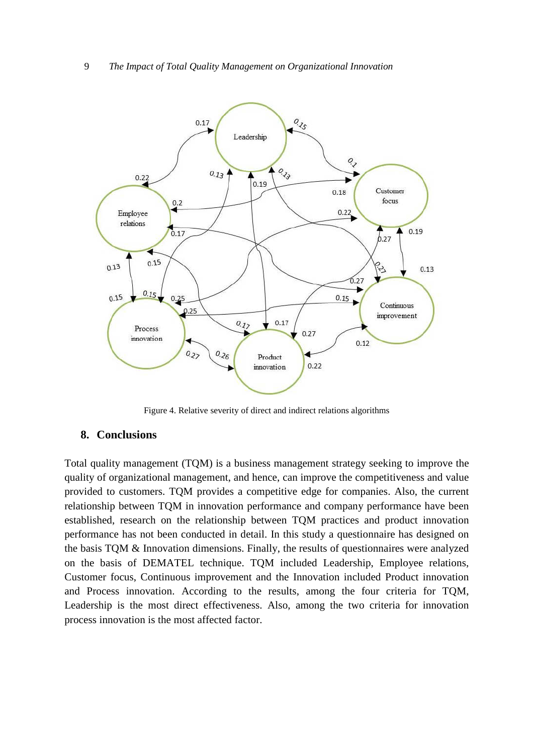

Figure 4. Relative severity of direct and indirect relations algorithms

#### **8. Conclusions**

Total quality management (TQM) is a business management strategy seeking to improve the quality of organizational management, and hence, can improve the competitiveness and value provided to customers. TQM provides a competitive edge for companies. Also, the current relationship between TQM in innovation performance and company performance have been established, research on the relationship between TQM practices and product innovation performance has not been conducted in detail. In this study a questionnaire has designed on the basis TQM & Innovation dimensions. Finally, the results of questionnaires were analyzed on the basis of DEMATEL technique. TQM included Leadership, Employee relations, Customer focus, Continuous improvement and the Innovation included Product innovation and Process innovation. According to the results, among the four criteria for TQM, Leadership is the most direct effectiveness. Also, among the two criteria for innovation process innovation is the most affected factor.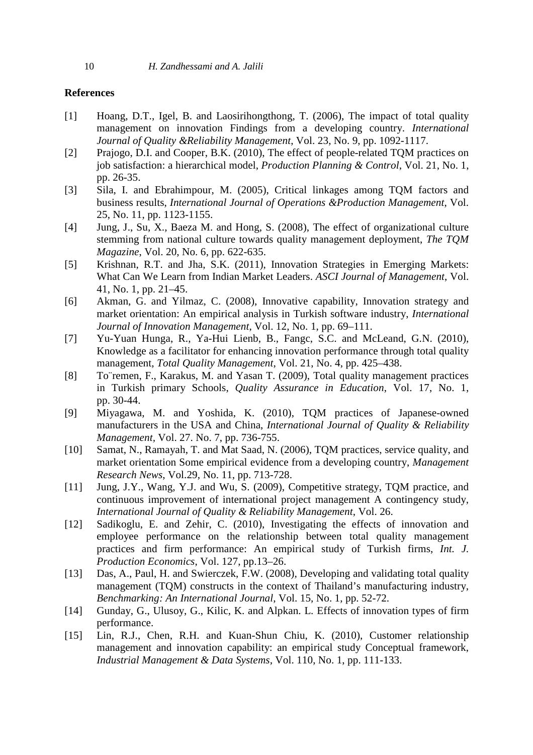#### **References**

- [1] Hoang, D.T., Igel, B. and Laosirihongthong, T. (2006), The impact of total quality management on innovation Findings from a developing country. *International Journal of Quality &Reliability Management*, Vol. 23, No. 9, pp. 1092-1117.
- [2] Prajogo, D.I. and Cooper, B.K. (2010), The effect of people-related TQM practices on job satisfaction: a hierarchical model, *Production Planning & Control*, Vol. 21, No. 1, pp. 26-35.
- [3] Sila, I. and Ebrahimpour, M. (2005), Critical linkages among TQM factors and business results, *International Journal of Operations &Production Management*, Vol. 25, No. 11, pp. 1123-1155.
- [4] Jung, J., Su, X., Baeza M. and Hong, S. (2008), The effect of organizational culture stemming from national culture towards quality management deployment, *The TQM Magazine*, Vol. 20, No. 6, pp. 622-635.
- [5] Krishnan, R.T. and Jha, S.K. (2011), Innovation Strategies in Emerging Markets: What Can We Learn from Indian Market Leaders. *ASCI Journal of Management*, Vol. 41, No. 1, pp. 21–45.
- [6] Akman, G. and Yilmaz, C. (2008), Innovative capability, Innovation strategy and market orientation: An empirical analysis in Turkish software industry, *International Journal of Innovation Management*, Vol. 12, No. 1, pp. 69–111.
- [7] Yu-Yuan Hunga, R., Ya-Hui Lienb, B., Fangc, S.C. and McLeand, G.N. (2010), Knowledge as a facilitator for enhancing innovation performance through total quality management, *Total Quality Management*, Vol. 21, No. 4, pp. 425–438.
- [8] To¨remen, F., Karakus, M. and Yasan T. (2009), Total quality management practices in Turkish primary Schools, *Quality Assurance in Education*, Vol. 17, No. 1, pp. 30-44.
- [9] Miyagawa, M. and Yoshida, K. (2010), TQM practices of Japanese-owned manufacturers in the USA and China, *International Journal of Quality & Reliability Management,* Vol. 27. No. 7, pp. 736-755.
- [10] Samat, N., Ramayah, T. and Mat Saad, N. (2006), TQM practices, service quality, and market orientation Some empirical evidence from a developing country, *Management Research News*, Vol.29, No. 11, pp. 713-728.
- [11] Jung, J.Y., Wang, Y.J. and Wu, S. (2009), Competitive strategy, TQM practice, and continuous improvement of international project management A contingency study, *International Journal of Quality & Reliability Management*, Vol. 26.
- [12] Sadikoglu, E. and Zehir, C. (2010), Investigating the effects of innovation and employee performance on the relationship between total quality management practices and firm performance: An empirical study of Turkish firms, *Int. J. Production Economics*, Vol. 127, pp.13–26.
- [13] Das, A., Paul, H. and Swierczek, F.W. (2008), Developing and validating total quality management (TQM) constructs in the context of Thailand's manufacturing industry, *Benchmarking: An International Journal*, Vol. 15, No. 1, pp. 52-72.
- [14] Gunday, G., Ulusoy, G., Kilic, K. and Alpkan. L. Effects of innovation types of firm performance.
- [15] Lin, R.J., Chen, R.H. and Kuan-Shun Chiu, K. (2010), Customer relationship management and innovation capability: an empirical study Conceptual framework, *Industrial Management & Data Systems*, Vol. 110, No. 1, pp. 111-133.